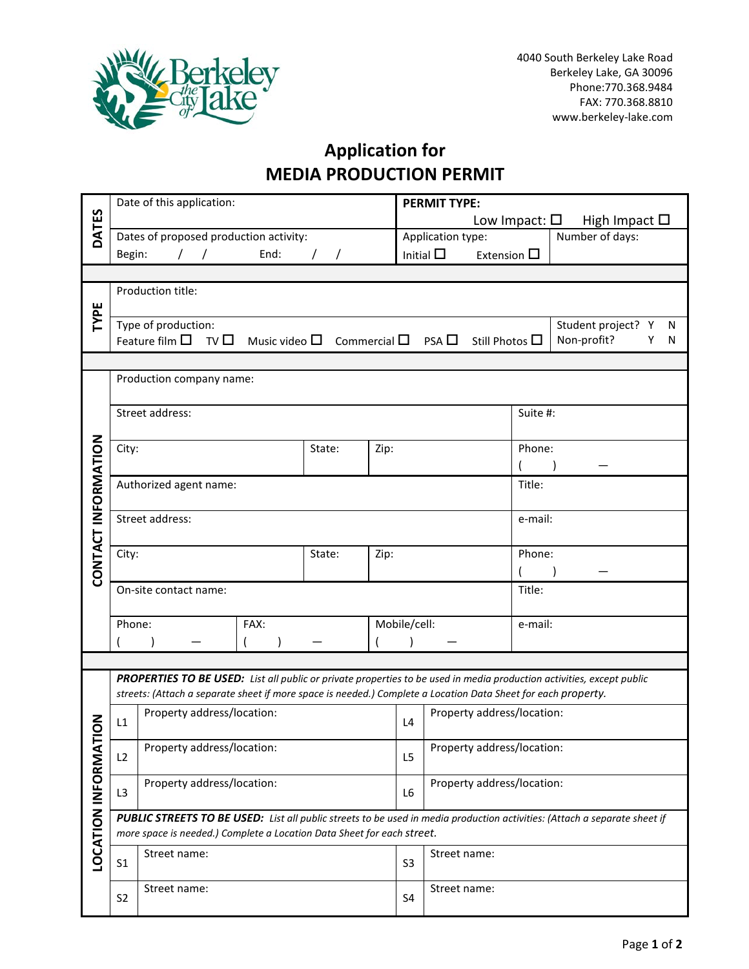

## **Application for MEDIA PRODUCTION PERMIT**

|                         |                                                                                                                                                                                                     | Date of this application:              |        |  |                   | <b>PERMIT TYPE:</b>                                                                                           |                                     |                                          |                            |                                                |                         |                                                                                                                       |  |  |  |  |
|-------------------------|-----------------------------------------------------------------------------------------------------------------------------------------------------------------------------------------------------|----------------------------------------|--------|--|-------------------|---------------------------------------------------------------------------------------------------------------|-------------------------------------|------------------------------------------|----------------------------|------------------------------------------------|-------------------------|-----------------------------------------------------------------------------------------------------------------------|--|--|--|--|
| DATES                   |                                                                                                                                                                                                     |                                        |        |  |                   |                                                                                                               |                                     |                                          |                            | Low Impact: $\square$<br>High Impact $\square$ |                         |                                                                                                                       |  |  |  |  |
|                         |                                                                                                                                                                                                     | Dates of proposed production activity: |        |  | Application type: |                                                                                                               |                                     |                                          | Number of days:            |                                                |                         |                                                                                                                       |  |  |  |  |
|                         |                                                                                                                                                                                                     | Begin:<br>End:                         |        |  |                   |                                                                                                               |                                     | Initial $\square$<br>Extension $\square$ |                            |                                                |                         |                                                                                                                       |  |  |  |  |
|                         |                                                                                                                                                                                                     |                                        |        |  |                   |                                                                                                               |                                     |                                          |                            |                                                |                         |                                                                                                                       |  |  |  |  |
|                         |                                                                                                                                                                                                     | Production title:                      |        |  |                   |                                                                                                               |                                     |                                          |                            |                                                |                         |                                                                                                                       |  |  |  |  |
| TYPE                    |                                                                                                                                                                                                     |                                        |        |  |                   |                                                                                                               |                                     |                                          |                            |                                                |                         |                                                                                                                       |  |  |  |  |
|                         |                                                                                                                                                                                                     | Type of production:                    |        |  |                   |                                                                                                               |                                     |                                          |                            |                                                | Student project? Y<br>N |                                                                                                                       |  |  |  |  |
|                         |                                                                                                                                                                                                     |                                        |        |  |                   | Feature film $\Box$ TV $\Box$ Music video $\Box$ Commercial $\Box$                                            | $PSA \ \Box$<br>Still Photos $\Box$ |                                          | Non-profit?<br>Υ<br>N      |                                                |                         |                                                                                                                       |  |  |  |  |
|                         |                                                                                                                                                                                                     |                                        |        |  |                   |                                                                                                               |                                     |                                          |                            |                                                |                         |                                                                                                                       |  |  |  |  |
|                         | Production company name:                                                                                                                                                                            |                                        |        |  |                   |                                                                                                               |                                     |                                          |                            |                                                |                         |                                                                                                                       |  |  |  |  |
|                         |                                                                                                                                                                                                     |                                        |        |  |                   |                                                                                                               |                                     |                                          |                            |                                                |                         |                                                                                                                       |  |  |  |  |
|                         |                                                                                                                                                                                                     | Street address:                        |        |  |                   |                                                                                                               |                                     |                                          | Suite #:                   |                                                |                         |                                                                                                                       |  |  |  |  |
|                         |                                                                                                                                                                                                     |                                        |        |  |                   |                                                                                                               |                                     |                                          |                            |                                                |                         |                                                                                                                       |  |  |  |  |
|                         | City:                                                                                                                                                                                               |                                        | State: |  |                   | Phone:                                                                                                        |                                     |                                          |                            |                                                |                         |                                                                                                                       |  |  |  |  |
| CONTACT INFORMATION     |                                                                                                                                                                                                     |                                        |        |  |                   |                                                                                                               | Zip:                                |                                          |                            |                                                |                         |                                                                                                                       |  |  |  |  |
|                         |                                                                                                                                                                                                     | Authorized agent name:                 |        |  |                   |                                                                                                               |                                     |                                          |                            |                                                | Title:                  |                                                                                                                       |  |  |  |  |
|                         |                                                                                                                                                                                                     |                                        |        |  |                   |                                                                                                               |                                     |                                          |                            |                                                |                         |                                                                                                                       |  |  |  |  |
|                         |                                                                                                                                                                                                     | Street address:                        |        |  |                   |                                                                                                               |                                     |                                          |                            |                                                |                         | e-mail:                                                                                                               |  |  |  |  |
|                         |                                                                                                                                                                                                     |                                        |        |  |                   |                                                                                                               |                                     |                                          |                            |                                                |                         |                                                                                                                       |  |  |  |  |
|                         | City:                                                                                                                                                                                               | State:<br>Zip:                         |        |  |                   |                                                                                                               |                                     |                                          |                            |                                                |                         | Phone:                                                                                                                |  |  |  |  |
|                         |                                                                                                                                                                                                     |                                        |        |  |                   |                                                                                                               |                                     |                                          |                            |                                                |                         |                                                                                                                       |  |  |  |  |
|                         |                                                                                                                                                                                                     | On-site contact name:                  |        |  |                   |                                                                                                               |                                     |                                          | Title:                     |                                                |                         |                                                                                                                       |  |  |  |  |
|                         |                                                                                                                                                                                                     |                                        |        |  |                   |                                                                                                               |                                     |                                          |                            |                                                |                         |                                                                                                                       |  |  |  |  |
|                         |                                                                                                                                                                                                     | Phone:<br>FAX:                         |        |  |                   |                                                                                                               |                                     | Mobile/cell:                             |                            |                                                | e-mail:                 |                                                                                                                       |  |  |  |  |
|                         |                                                                                                                                                                                                     |                                        |        |  |                   |                                                                                                               |                                     |                                          |                            |                                                |                         |                                                                                                                       |  |  |  |  |
|                         |                                                                                                                                                                                                     |                                        |        |  |                   |                                                                                                               |                                     |                                          |                            |                                                |                         |                                                                                                                       |  |  |  |  |
|                         |                                                                                                                                                                                                     |                                        |        |  |                   |                                                                                                               |                                     |                                          |                            |                                                |                         | PROPERTIES TO BE USED: List all public or private properties to be used in media production activities, except public |  |  |  |  |
|                         |                                                                                                                                                                                                     |                                        |        |  |                   | streets: (Attach a separate sheet if more space is needed.) Complete a Location Data Sheet for each property. |                                     |                                          |                            |                                                |                         |                                                                                                                       |  |  |  |  |
|                         |                                                                                                                                                                                                     | Property address/location:             |        |  |                   |                                                                                                               |                                     |                                          |                            | Property address/location:                     |                         |                                                                                                                       |  |  |  |  |
| NOL                     | L1                                                                                                                                                                                                  |                                        |        |  |                   |                                                                                                               |                                     |                                          |                            |                                                |                         |                                                                                                                       |  |  |  |  |
|                         |                                                                                                                                                                                                     | Property address/location:             |        |  |                   |                                                                                                               |                                     | L <sub>5</sub>                           | Property address/location: |                                                |                         |                                                                                                                       |  |  |  |  |
|                         | L2                                                                                                                                                                                                  |                                        |        |  |                   |                                                                                                               |                                     |                                          |                            |                                                |                         |                                                                                                                       |  |  |  |  |
|                         | L3                                                                                                                                                                                                  | Property address/location:             |        |  |                   |                                                                                                               |                                     |                                          | Property address/location: |                                                |                         |                                                                                                                       |  |  |  |  |
| <b>LOCATION INFORMA</b> |                                                                                                                                                                                                     |                                        |        |  |                   | L <sub>6</sub>                                                                                                |                                     |                                          |                            |                                                |                         |                                                                                                                       |  |  |  |  |
|                         | PUBLIC STREETS TO BE USED: List all public streets to be used in media production activities: (Attach a separate sheet if<br>more space is needed.) Complete a Location Data Sheet for each street. |                                        |        |  |                   |                                                                                                               |                                     |                                          |                            |                                                |                         |                                                                                                                       |  |  |  |  |
|                         |                                                                                                                                                                                                     |                                        |        |  |                   |                                                                                                               |                                     |                                          |                            |                                                |                         |                                                                                                                       |  |  |  |  |
|                         | Street name:<br>S <sub>1</sub>                                                                                                                                                                      |                                        |        |  |                   |                                                                                                               |                                     | Street name:<br>S <sub>3</sub>           |                            |                                                |                         |                                                                                                                       |  |  |  |  |
|                         |                                                                                                                                                                                                     |                                        |        |  |                   |                                                                                                               |                                     |                                          |                            |                                                |                         |                                                                                                                       |  |  |  |  |
|                         |                                                                                                                                                                                                     | Street name:<br>S <sub>2</sub>         |        |  |                   |                                                                                                               |                                     | <b>S4</b>                                | Street name:               |                                                |                         |                                                                                                                       |  |  |  |  |
|                         |                                                                                                                                                                                                     |                                        |        |  |                   |                                                                                                               |                                     |                                          |                            |                                                |                         |                                                                                                                       |  |  |  |  |